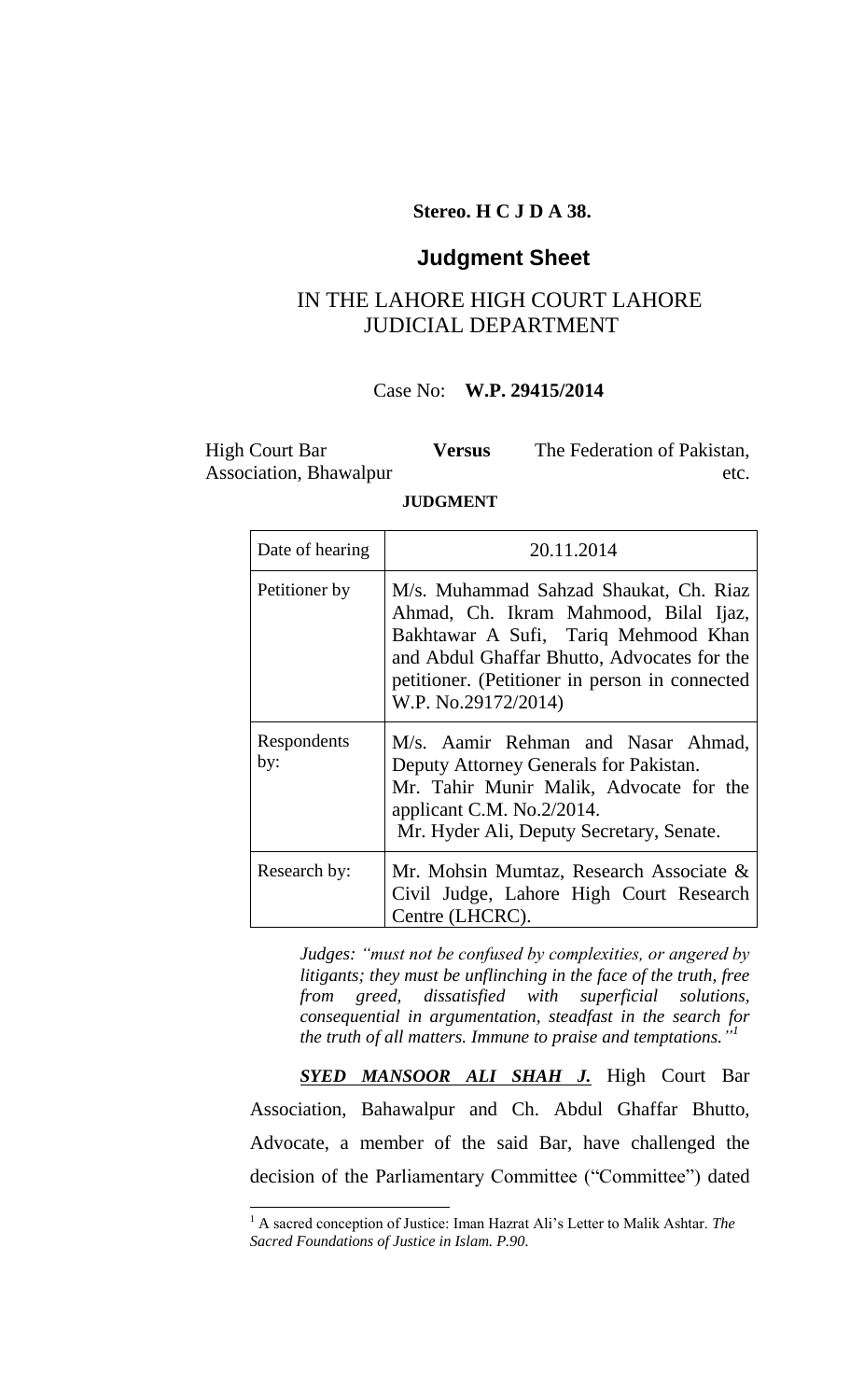### **Stereo. H C J D A 38.**

## **Judgment Sheet**

# IN THE LAHORE HIGH COURT LAHORE JUDICIAL DEPARTMENT

### Case No: **W.P. 29415/2014**

High Court Bar Association, Bhawalpur **Versus** The Federation of Pakistan, etc.

#### **JUDGMENT**

| Date of hearing    | 20.11.2014                                                                                                                                                                                                                                      |  |  |
|--------------------|-------------------------------------------------------------------------------------------------------------------------------------------------------------------------------------------------------------------------------------------------|--|--|
| Petitioner by      | M/s. Muhammad Sahzad Shaukat, Ch. Riaz<br>Ahmad, Ch. Ikram Mahmood, Bilal Ijaz,<br>Bakhtawar A Sufi, Tariq Mehmood Khan<br>and Abdul Ghaffar Bhutto, Advocates for the<br>petitioner. (Petitioner in person in connected<br>W.P. No.29172/2014) |  |  |
| Respondents<br>by: | M/s. Aamir Rehman and Nasar Ahmad,<br>Deputy Attorney Generals for Pakistan.<br>Mr. Tahir Munir Malik, Advocate for the<br>applicant C.M. $No.2/2014$ .<br>Mr. Hyder Ali, Deputy Secretary, Senate.                                             |  |  |
| Research by:       | Mr. Mohsin Mumtaz, Research Associate &<br>Civil Judge, Lahore High Court Research<br>Centre (LHCRC).                                                                                                                                           |  |  |

*Judges: "must not be confused by complexities, or angered by litigants; they must be unflinching in the face of the truth, free from greed, dissatisfied with superficial solutions, consequential in argumentation, steadfast in the search for the truth of all matters. Immune to praise and temptations." 1*

*SYED MANSOOR ALI SHAH J.* High Court Bar Association, Bahawalpur and Ch. Abdul Ghaffar Bhutto, Advocate, a member of the said Bar, have challenged the decision of the Parliamentary Committee ("Committee") dated

 $\overline{a}$ 

 $\overline{\Gamma}$ 

<sup>&</sup>lt;sup>1</sup> A sacred conception of Justice: Iman Hazrat Ali's Letter to Malik Ashtar. *The Sacred Foundations of Justice in Islam. P.90.*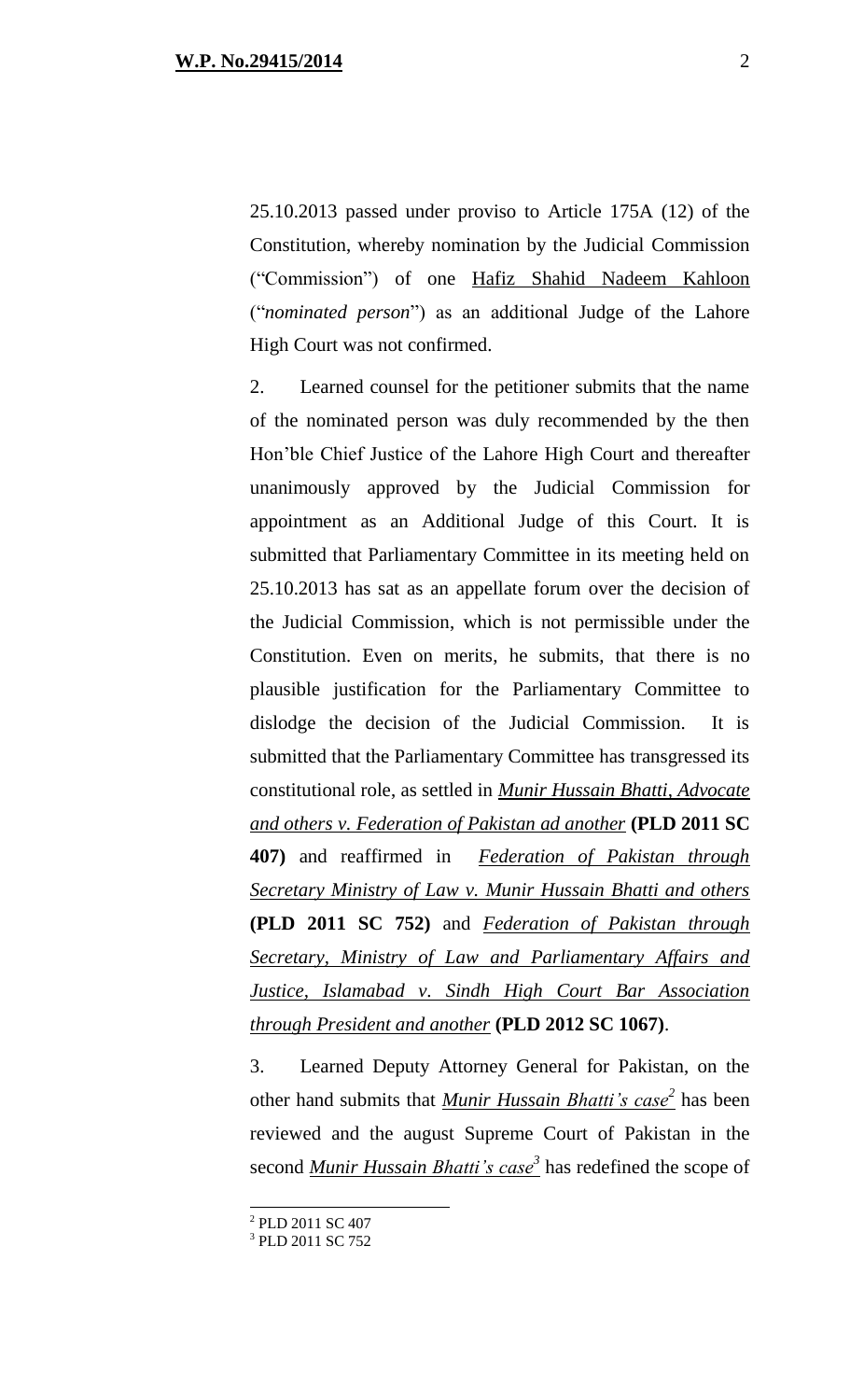25.10.2013 passed under proviso to Article 175A (12) of the Constitution, whereby nomination by the Judicial Commission ("Commission") of one Hafiz Shahid Nadeem Kahloon ("*nominated person*") as an additional Judge of the Lahore High Court was not confirmed.

2. Learned counsel for the petitioner submits that the name of the nominated person was duly recommended by the then Hon'ble Chief Justice of the Lahore High Court and thereafter unanimously approved by the Judicial Commission for appointment as an Additional Judge of this Court. It is submitted that Parliamentary Committee in its meeting held on 25.10.2013 has sat as an appellate forum over the decision of the Judicial Commission, which is not permissible under the Constitution. Even on merits, he submits, that there is no plausible justification for the Parliamentary Committee to dislodge the decision of the Judicial Commission. It is submitted that the Parliamentary Committee has transgressed its constitutional role, as settled in *Munir Hussain Bhatti, Advocate and others v. Federation of Pakistan ad another* **(PLD 2011 SC 407)** and reaffirmed in *Federation of Pakistan through Secretary Ministry of Law v. Munir Hussain Bhatti and others* **(PLD 2011 SC 752)** and *Federation of Pakistan through Secretary, Ministry of Law and Parliamentary Affairs and Justice, Islamabad v. Sindh High Court Bar Association through President and another* **(PLD 2012 SC 1067)**.

3. Learned Deputy Attorney General for Pakistan, on the other hand submits that *Munir Hussain Bhatti's case<sup>2</sup>* has been reviewed and the august Supreme Court of Pakistan in the second *Munir Hussain Bhatti's case<sup>3</sup>* has redefined the scope of

 $\overline{a}$ 

<sup>&</sup>lt;sup>2</sup> PLD 2011 SC 407

<sup>&</sup>lt;sup>3</sup> PLD 2011 SC 752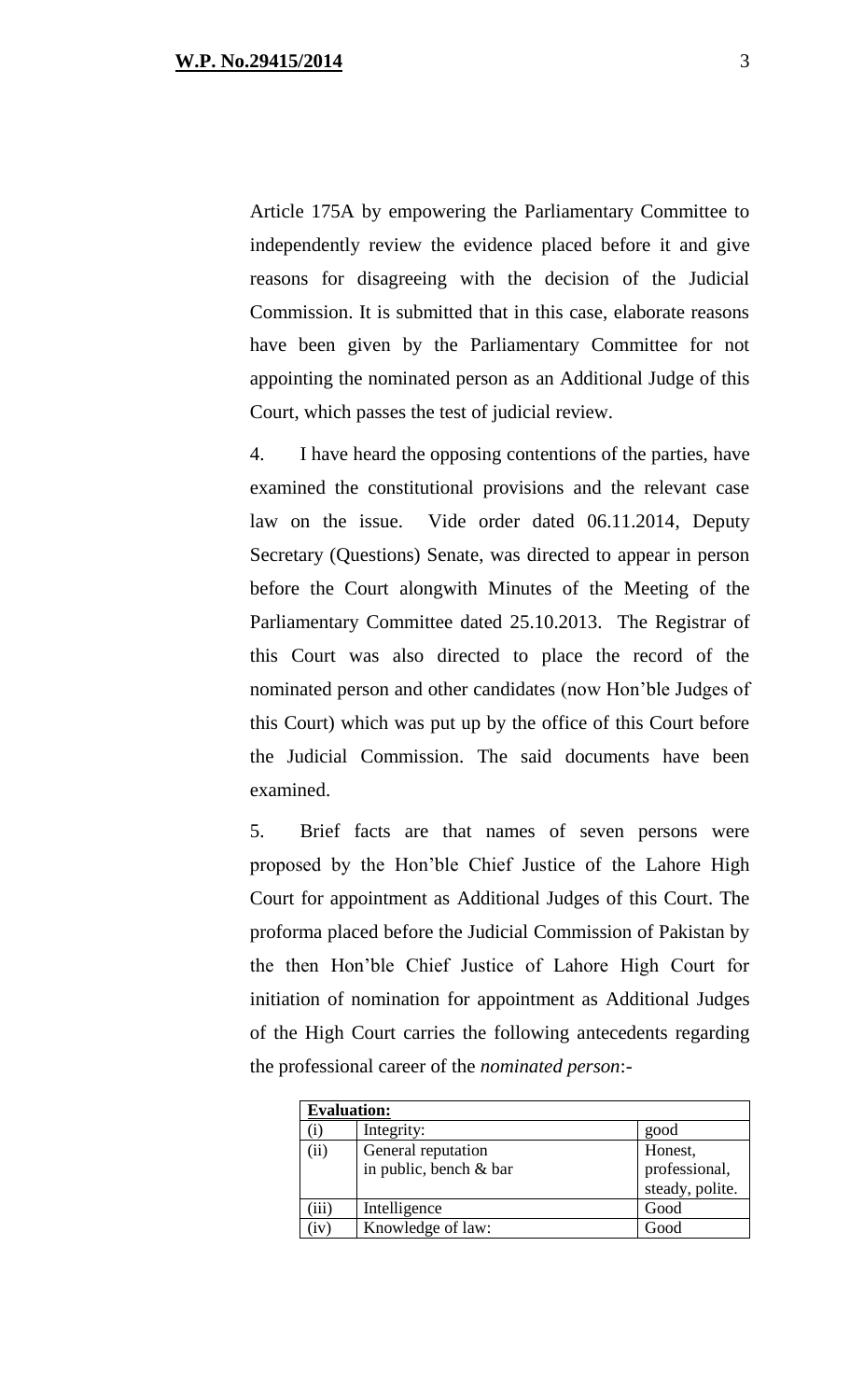Article 175A by empowering the Parliamentary Committee to independently review the evidence placed before it and give reasons for disagreeing with the decision of the Judicial Commission. It is submitted that in this case, elaborate reasons have been given by the Parliamentary Committee for not appointing the nominated person as an Additional Judge of this Court, which passes the test of judicial review.

4. I have heard the opposing contentions of the parties, have examined the constitutional provisions and the relevant case law on the issue. Vide order dated 06.11.2014, Deputy Secretary (Questions) Senate, was directed to appear in person before the Court alongwith Minutes of the Meeting of the Parliamentary Committee dated 25.10.2013. The Registrar of this Court was also directed to place the record of the nominated person and other candidates (now Hon'ble Judges of this Court) which was put up by the office of this Court before the Judicial Commission. The said documents have been examined.

5. Brief facts are that names of seven persons were proposed by the Hon'ble Chief Justice of the Lahore High Court for appointment as Additional Judges of this Court. The proforma placed before the Judicial Commission of Pakistan by the then Hon'ble Chief Justice of Lahore High Court for initiation of nomination for appointment as Additional Judges of the High Court carries the following antecedents regarding the professional career of the *nominated person*:-

| <b>Evaluation:</b> |                        |                 |  |  |
|--------------------|------------------------|-----------------|--|--|
|                    | Integrity:             | good            |  |  |
| (ii)               | General reputation     | Honest,         |  |  |
|                    | in public, bench & bar | professional,   |  |  |
|                    |                        | steady, polite. |  |  |
| iii)               | Intelligence           | Good            |  |  |
| iv)                | Knowledge of law:      | Good            |  |  |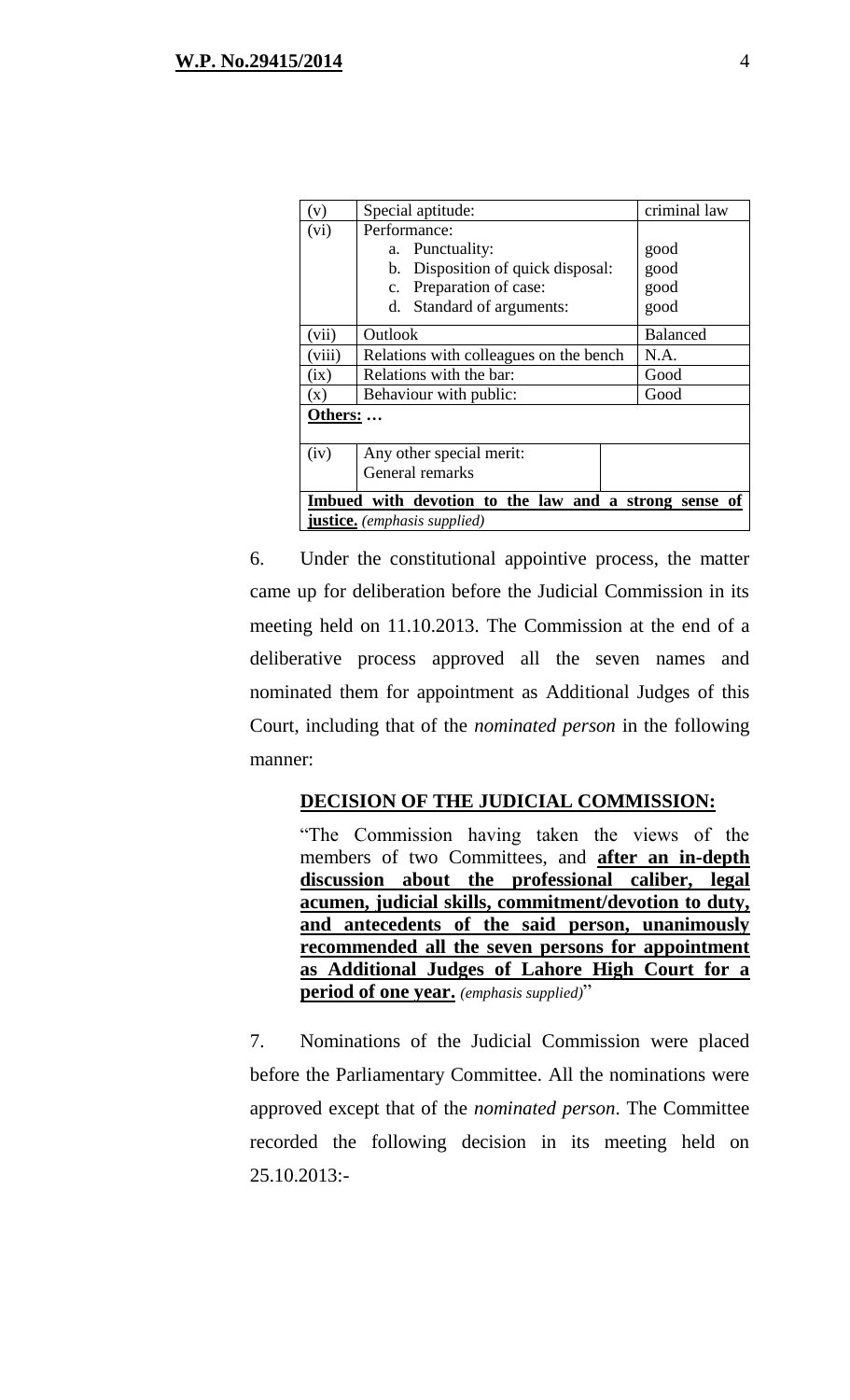| V                                                     | Special aptitude:                      | criminal law    |  |  |
|-------------------------------------------------------|----------------------------------------|-----------------|--|--|
| (vi)                                                  | Performance:                           |                 |  |  |
|                                                       | Punctuality:<br>a.                     | good            |  |  |
|                                                       | b. Disposition of quick disposal:      | good            |  |  |
|                                                       | c. Preparation of case:                | good            |  |  |
|                                                       | Standard of arguments:<br>d.           | good            |  |  |
| (vii)                                                 | Outlook                                | <b>Balanced</b> |  |  |
| (viii)                                                | Relations with colleagues on the bench | N.A.            |  |  |
| (ix)                                                  | Relations with the bar:                | Good            |  |  |
| $(\mathbf{x})$                                        | Behaviour with public:                 | Good            |  |  |
| Others:                                               |                                        |                 |  |  |
| (iv)                                                  | Any other special merit:               |                 |  |  |
|                                                       | General remarks                        |                 |  |  |
| Imbued with devotion to the law and a strong sense of |                                        |                 |  |  |
| <b>justice.</b> (emphasis supplied)                   |                                        |                 |  |  |

6. Under the constitutional appointive process, the matter came up for deliberation before the Judicial Commission in its meeting held on 11.10.2013. The Commission at the end of a deliberative process approved all the seven names and nominated them for appointment as Additional Judges of this Court, including that of the *nominated person* in the following manner:

#### **DECISION OF THE JUDICIAL COMMISSION:**

"The Commission having taken the views of the members of two Committees, and **after an in-depth discussion about the professional caliber, legal acumen, judicial skills, commitment/devotion to duty, and antecedents of the said person, unanimously recommended all the seven persons for appointment as Additional Judges of Lahore High Court for a period of one year.** *(emphasis supplied)*"

7. Nominations of the Judicial Commission were placed before the Parliamentary Committee. All the nominations were approved except that of the *nominated person*. The Committee recorded the following decision in its meeting held on 25.10.2013:-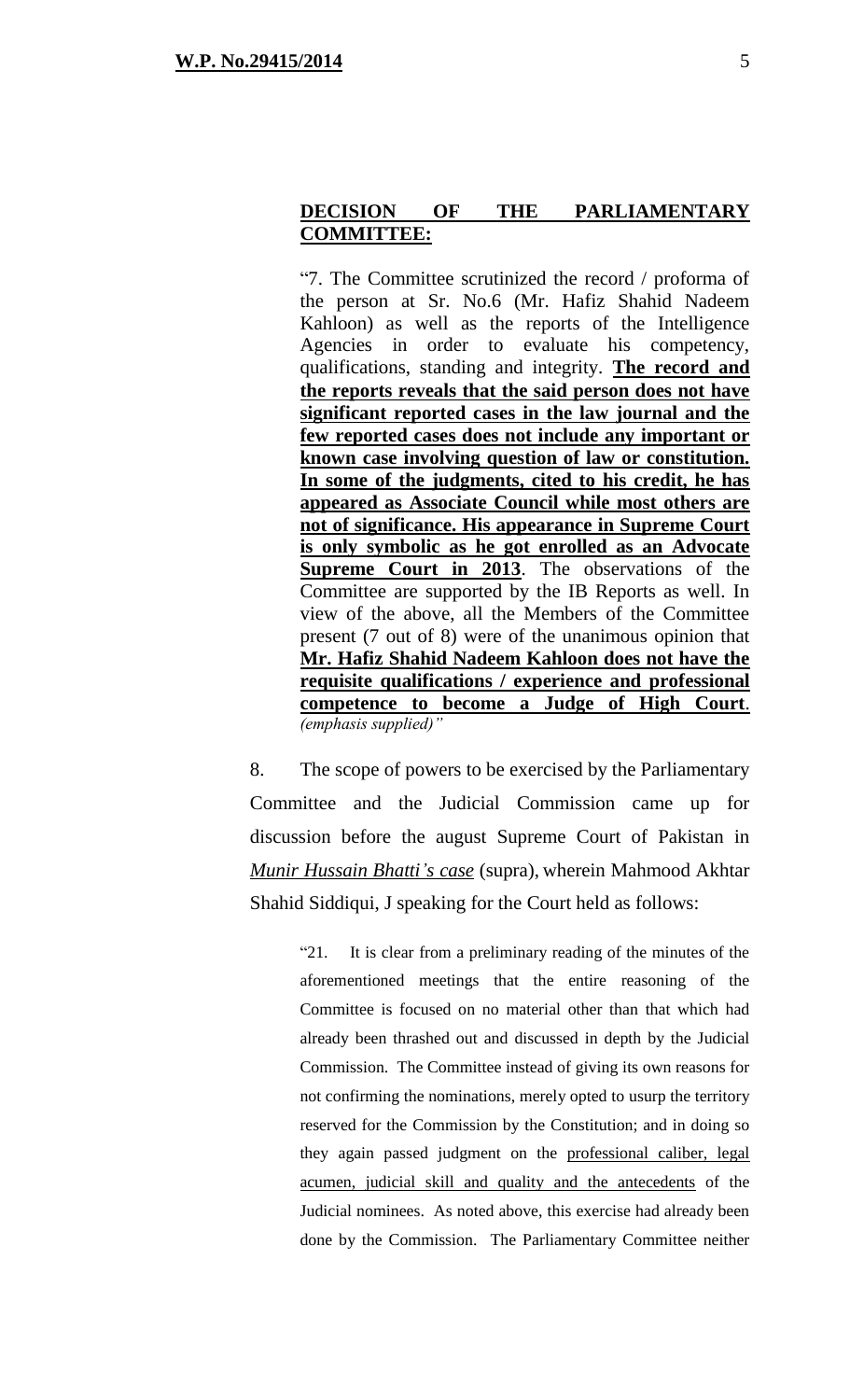"7. The Committee scrutinized the record / proforma of the person at Sr. No.6 (Mr. Hafiz Shahid Nadeem Kahloon) as well as the reports of the Intelligence Agencies in order to evaluate his competency, qualifications, standing and integrity. **The record and the reports reveals that the said person does not have significant reported cases in the law journal and the few reported cases does not include any important or known case involving question of law or constitution. In some of the judgments, cited to his credit, he has appeared as Associate Council while most others are not of significance. His appearance in Supreme Court is only symbolic as he got enrolled as an Advocate Supreme Court in 2013**. The observations of the Committee are supported by the IB Reports as well. In view of the above, all the Members of the Committee present (7 out of 8) were of the unanimous opinion that **Mr. Hafiz Shahid Nadeem Kahloon does not have the requisite qualifications / experience and professional competence to become a Judge of High Court**. *(emphasis supplied)"*

8. The scope of powers to be exercised by the Parliamentary Committee and the Judicial Commission came up for discussion before the august Supreme Court of Pakistan in *Munir Hussain Bhatti's case* (supra), wherein Mahmood Akhtar Shahid Siddiqui, J speaking for the Court held as follows:

> "21. It is clear from a preliminary reading of the minutes of the aforementioned meetings that the entire reasoning of the Committee is focused on no material other than that which had already been thrashed out and discussed in depth by the Judicial Commission. The Committee instead of giving its own reasons for not confirming the nominations, merely opted to usurp the territory reserved for the Commission by the Constitution; and in doing so they again passed judgment on the professional caliber, legal acumen, judicial skill and quality and the antecedents of the Judicial nominees. As noted above, this exercise had already been done by the Commission. The Parliamentary Committee neither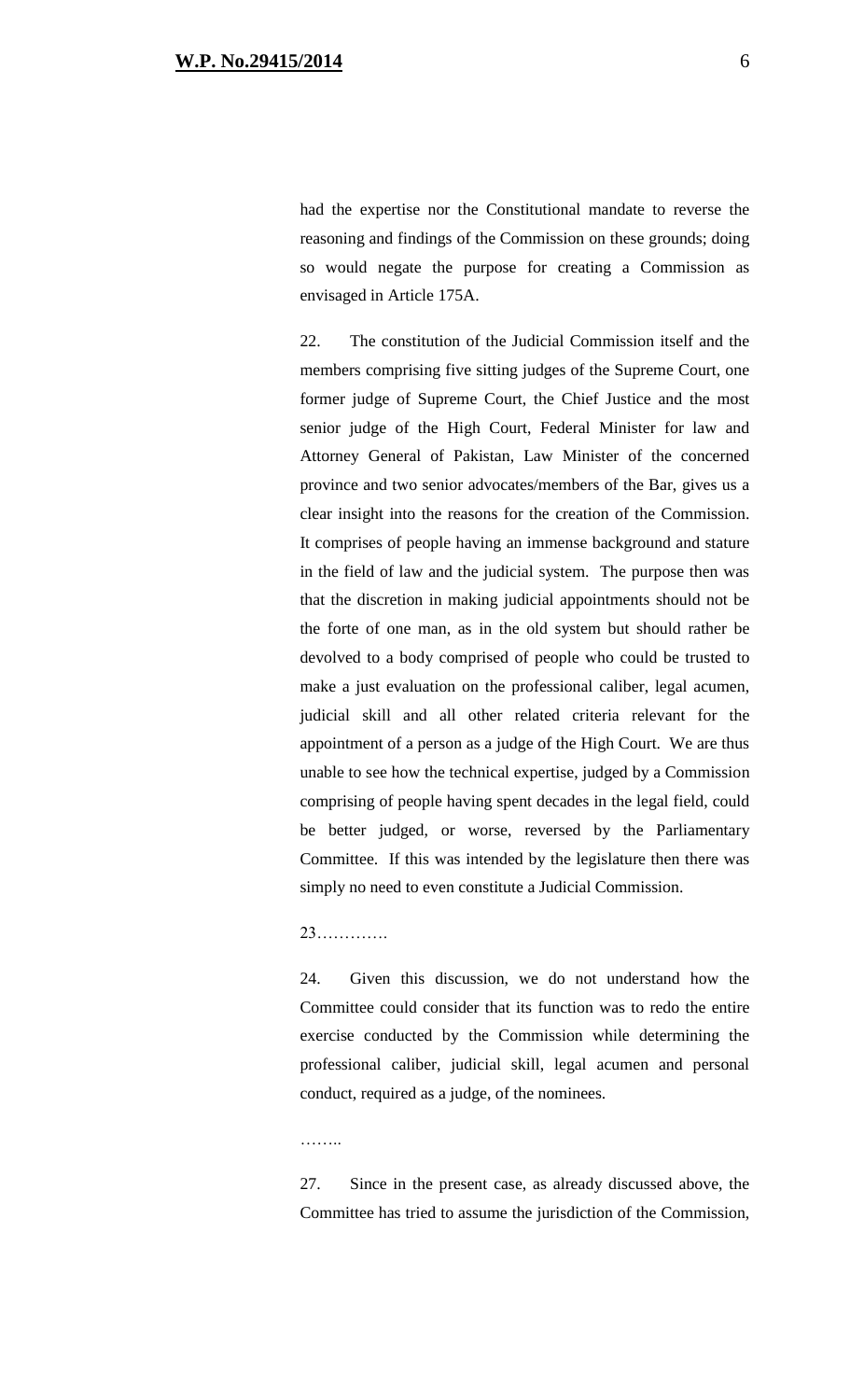had the expertise nor the Constitutional mandate to reverse the reasoning and findings of the Commission on these grounds; doing so would negate the purpose for creating a Commission as envisaged in Article 175A.

22. The constitution of the Judicial Commission itself and the members comprising five sitting judges of the Supreme Court, one former judge of Supreme Court, the Chief Justice and the most senior judge of the High Court, Federal Minister for law and Attorney General of Pakistan, Law Minister of the concerned province and two senior advocates/members of the Bar, gives us a clear insight into the reasons for the creation of the Commission. It comprises of people having an immense background and stature in the field of law and the judicial system. The purpose then was that the discretion in making judicial appointments should not be the forte of one man, as in the old system but should rather be devolved to a body comprised of people who could be trusted to make a just evaluation on the professional caliber, legal acumen, judicial skill and all other related criteria relevant for the appointment of a person as a judge of the High Court. We are thus unable to see how the technical expertise, judged by a Commission comprising of people having spent decades in the legal field, could be better judged, or worse, reversed by the Parliamentary Committee. If this was intended by the legislature then there was simply no need to even constitute a Judicial Commission.

#### 23………….

24. Given this discussion, we do not understand how the Committee could consider that its function was to redo the entire exercise conducted by the Commission while determining the professional caliber, judicial skill, legal acumen and personal conduct, required as a judge, of the nominees.

……

27. Since in the present case, as already discussed above, the Committee has tried to assume the jurisdiction of the Commission,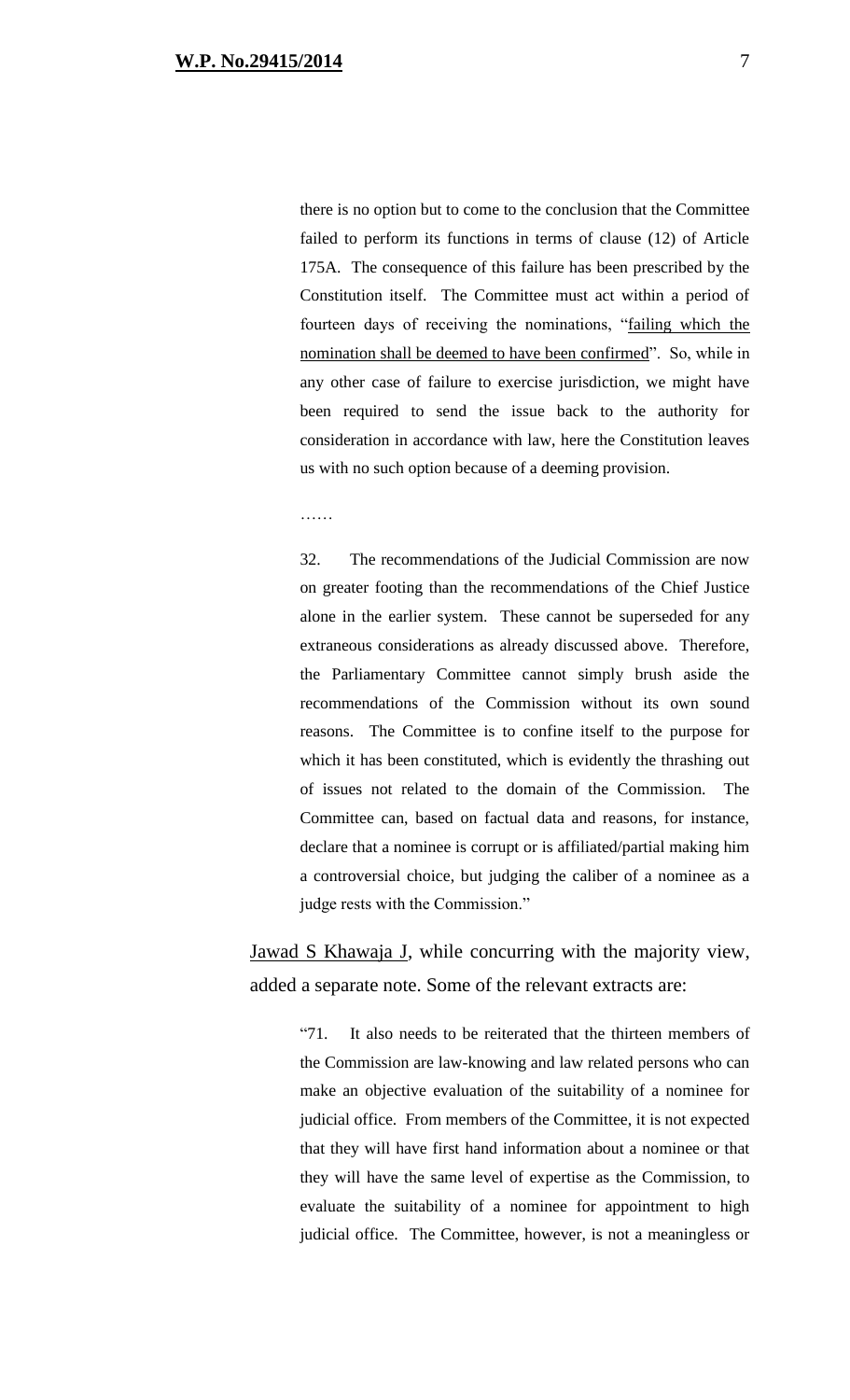there is no option but to come to the conclusion that the Committee failed to perform its functions in terms of clause (12) of Article 175A. The consequence of this failure has been prescribed by the Constitution itself. The Committee must act within a period of fourteen days of receiving the nominations, "failing which the nomination shall be deemed to have been confirmed". So, while in any other case of failure to exercise jurisdiction, we might have been required to send the issue back to the authority for consideration in accordance with law, here the Constitution leaves us with no such option because of a deeming provision.

……

32. The recommendations of the Judicial Commission are now on greater footing than the recommendations of the Chief Justice alone in the earlier system. These cannot be superseded for any extraneous considerations as already discussed above. Therefore, the Parliamentary Committee cannot simply brush aside the recommendations of the Commission without its own sound reasons. The Committee is to confine itself to the purpose for which it has been constituted, which is evidently the thrashing out of issues not related to the domain of the Commission. The Committee can, based on factual data and reasons, for instance, declare that a nominee is corrupt or is affiliated/partial making him a controversial choice, but judging the caliber of a nominee as a judge rests with the Commission."

Jawad S Khawaja J, while concurring with the majority view, added a separate note. Some of the relevant extracts are:

> "71. It also needs to be reiterated that the thirteen members of the Commission are law-knowing and law related persons who can make an objective evaluation of the suitability of a nominee for judicial office. From members of the Committee, it is not expected that they will have first hand information about a nominee or that they will have the same level of expertise as the Commission, to evaluate the suitability of a nominee for appointment to high judicial office. The Committee, however, is not a meaningless or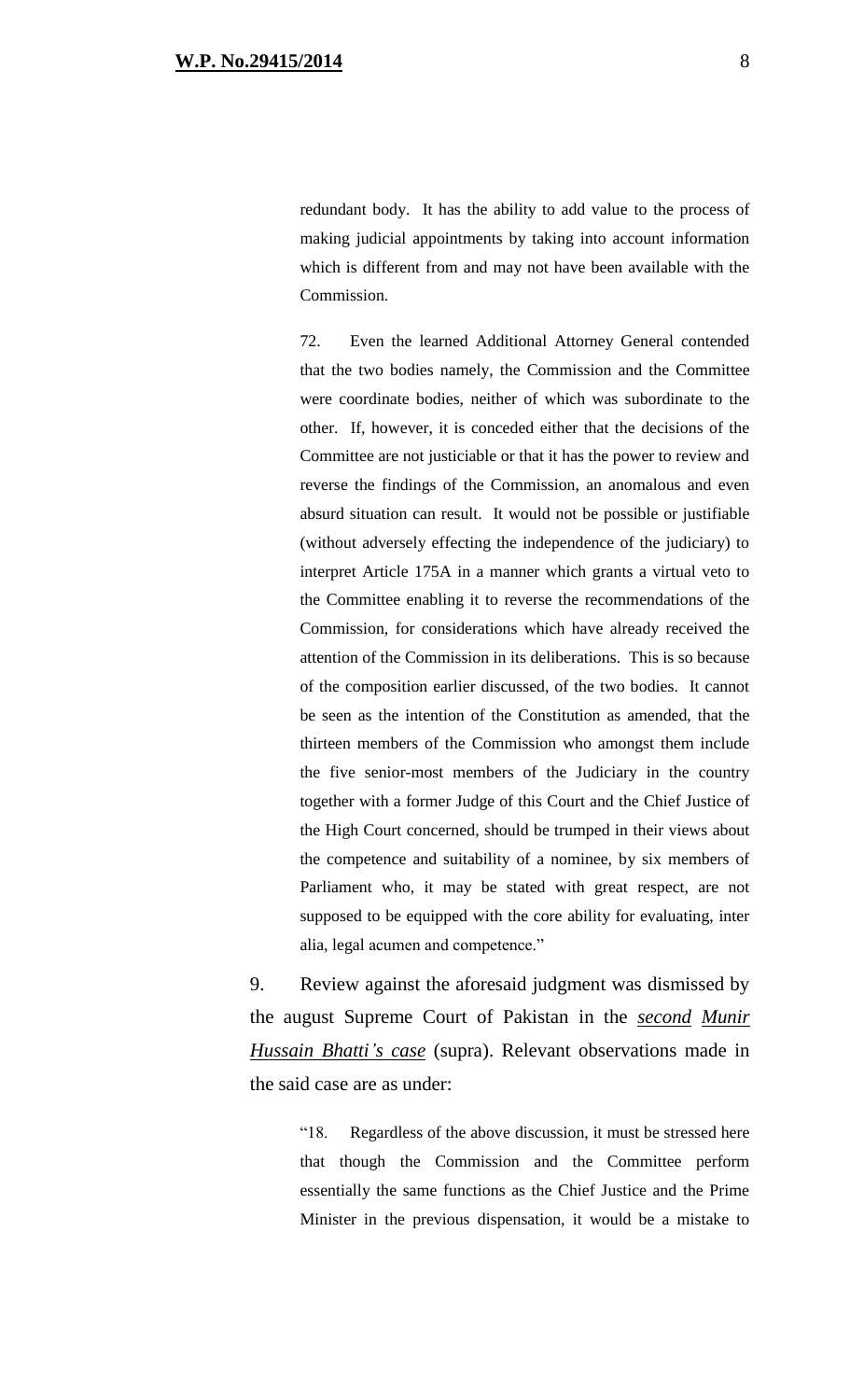redundant body. It has the ability to add value to the process of making judicial appointments by taking into account information which is different from and may not have been available with the Commission.

72. Even the learned Additional Attorney General contended that the two bodies namely, the Commission and the Committee were coordinate bodies, neither of which was subordinate to the other. If, however, it is conceded either that the decisions of the Committee are not justiciable or that it has the power to review and reverse the findings of the Commission, an anomalous and even absurd situation can result. It would not be possible or justifiable (without adversely effecting the independence of the judiciary) to interpret Article 175A in a manner which grants a virtual veto to the Committee enabling it to reverse the recommendations of the Commission, for considerations which have already received the attention of the Commission in its deliberations. This is so because of the composition earlier discussed, of the two bodies. It cannot be seen as the intention of the Constitution as amended, that the thirteen members of the Commission who amongst them include the five senior-most members of the Judiciary in the country together with a former Judge of this Court and the Chief Justice of the High Court concerned, should be trumped in their views about the competence and suitability of a nominee, by six members of Parliament who, it may be stated with great respect, are not supposed to be equipped with the core ability for evaluating, inter alia, legal acumen and competence."

9. Review against the aforesaid judgment was dismissed by the august Supreme Court of Pakistan in the *second Munir Hussain Bhatti's case* (supra). Relevant observations made in the said case are as under:

> "18. Regardless of the above discussion, it must be stressed here that though the Commission and the Committee perform essentially the same functions as the Chief Justice and the Prime Minister in the previous dispensation, it would be a mistake to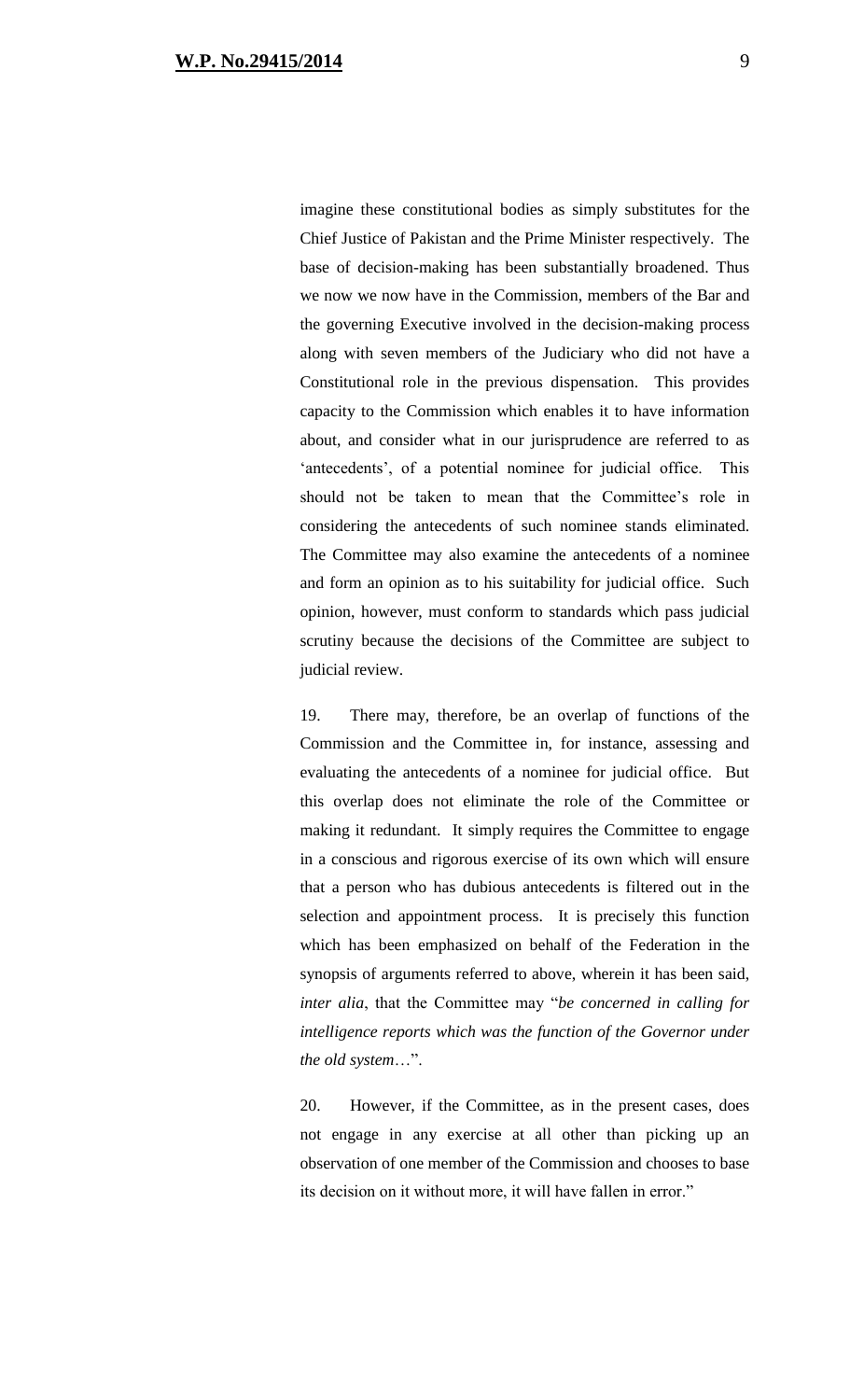imagine these constitutional bodies as simply substitutes for the Chief Justice of Pakistan and the Prime Minister respectively. The base of decision-making has been substantially broadened. Thus we now we now have in the Commission, members of the Bar and the governing Executive involved in the decision-making process along with seven members of the Judiciary who did not have a Constitutional role in the previous dispensation. This provides capacity to the Commission which enables it to have information about, and consider what in our jurisprudence are referred to as 'antecedents', of a potential nominee for judicial office. This should not be taken to mean that the Committee's role in considering the antecedents of such nominee stands eliminated. The Committee may also examine the antecedents of a nominee and form an opinion as to his suitability for judicial office. Such opinion, however, must conform to standards which pass judicial scrutiny because the decisions of the Committee are subject to judicial review.

19. There may, therefore, be an overlap of functions of the Commission and the Committee in, for instance, assessing and evaluating the antecedents of a nominee for judicial office. But this overlap does not eliminate the role of the Committee or making it redundant. It simply requires the Committee to engage in a conscious and rigorous exercise of its own which will ensure that a person who has dubious antecedents is filtered out in the selection and appointment process. It is precisely this function which has been emphasized on behalf of the Federation in the synopsis of arguments referred to above, wherein it has been said, *inter alia*, that the Committee may "*be concerned in calling for intelligence reports which was the function of the Governor under the old system*…".

20. However, if the Committee, as in the present cases, does not engage in any exercise at all other than picking up an observation of one member of the Commission and chooses to base its decision on it without more, it will have fallen in error."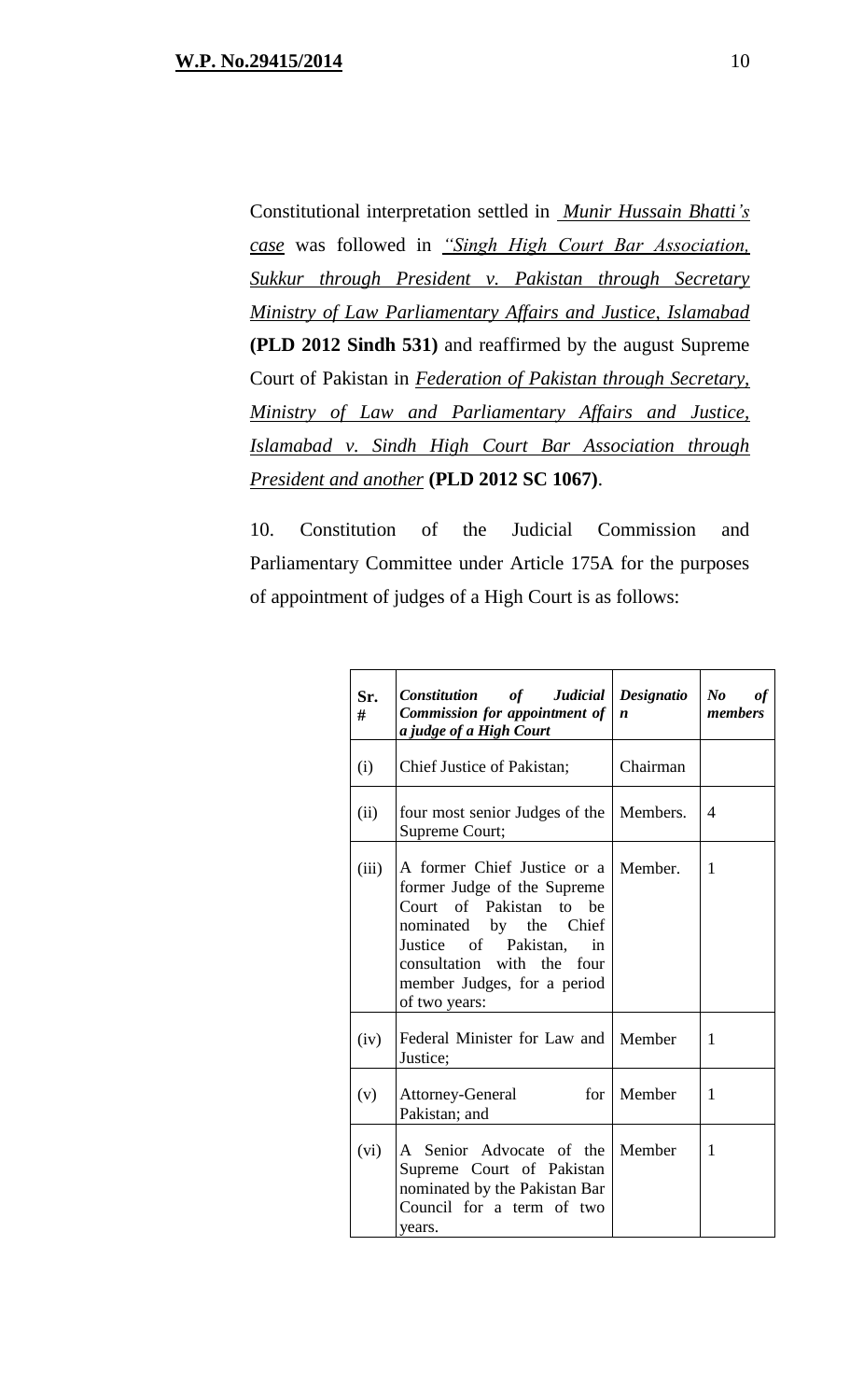Constitutional interpretation settled in *Munir Hussain Bhatti's case* was followed in *"Singh High Court Bar Association, Sukkur through President v. Pakistan through Secretary Ministry of Law Parliamentary Affairs and Justice, Islamabad*  **(PLD 2012 Sindh 531)** and reaffirmed by the august Supreme Court of Pakistan in *Federation of Pakistan through Secretary, Ministry of Law and Parliamentary Affairs and Justice, Islamabad v. Sindh High Court Bar Association through President and another* **(PLD 2012 SC 1067)**.

10. Constitution of the Judicial Commission and Parliamentary Committee under Article 175A for the purposes of appointment of judges of a High Court is as follows:

| Sr.<br># | Constitution of Judicial<br><b>Commission for appointment of</b><br>a judge of a High Court                                                                                                                                 | Designatio<br>$\boldsymbol{n}$ | $\bm{N}\bm{o}$<br>оf<br>members |
|----------|-----------------------------------------------------------------------------------------------------------------------------------------------------------------------------------------------------------------------------|--------------------------------|---------------------------------|
| (i)      | Chief Justice of Pakistan;                                                                                                                                                                                                  | Chairman                       |                                 |
| (ii)     | four most senior Judges of the<br>Supreme Court;                                                                                                                                                                            | Members.                       | 4                               |
| (iii)    | A former Chief Justice or a<br>former Judge of the Supreme<br>Court of Pakistan to be<br>nominated by the Chief<br>Justice of Pakistan,<br>in<br>consultation with the four<br>member Judges, for a period<br>of two years: | Member.                        | 1                               |
| (iv)     | Federal Minister for Law and   Member<br>Justice;                                                                                                                                                                           |                                | 1                               |
| (v)      | Attorney-General<br>for  <br>Pakistan; and                                                                                                                                                                                  | Member                         | 1                               |
| (vi)     | A Senior Advocate of the<br>Supreme Court of Pakistan<br>nominated by the Pakistan Bar<br>Council for a term of two<br>years.                                                                                               | Member                         | 1                               |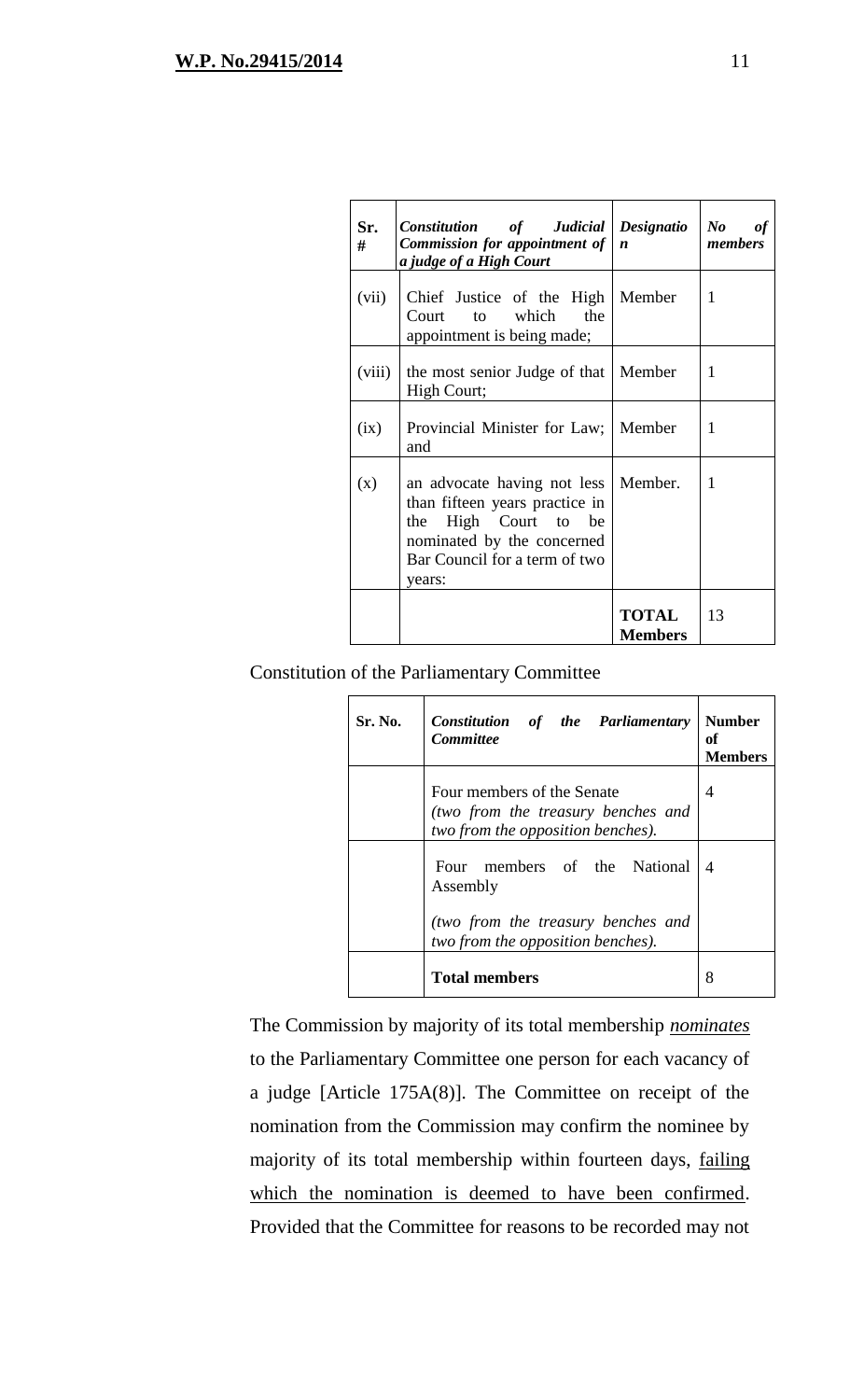| Sr.<br># | Constitution of Judicial Designatio<br><b>Commission for appointment of</b><br>a judge of a High Court                                                         | $\boldsymbol{n}$               | $\bm{N}\bm{o}$<br>of<br>members |
|----------|----------------------------------------------------------------------------------------------------------------------------------------------------------------|--------------------------------|---------------------------------|
| (vii)    | Chief Justice of the High<br>the<br>to which<br>Court<br>appointment is being made;                                                                            | Member                         | 1                               |
| (viii)   | the most senior Judge of that<br>High Court;                                                                                                                   | Member                         | 1                               |
| (ix)     | Provincial Minister for Law;   Member<br>and                                                                                                                   |                                | 1                               |
| (x)      | an advocate having not less<br>than fifteen years practice in<br>the High Court to be<br>nominated by the concerned<br>Bar Council for a term of two<br>years: | Member.                        | 1                               |
|          |                                                                                                                                                                | <b>TOTAL</b><br><b>Members</b> | 13                              |

## Constitution of the Parliamentary Committee

| Sr. No. | Constitution of the Parliamentary<br><b>Committee</b>                                                 | <b>Number</b><br>оf<br>Members |
|---------|-------------------------------------------------------------------------------------------------------|--------------------------------|
|         | Four members of the Senate<br>(two from the treasury benches and<br>two from the opposition benches). | 4                              |
|         | Four members of the National<br>Assembly<br>(two from the treasury benches and                        | $\overline{4}$                 |
|         | two from the opposition benches).<br><b>Total members</b>                                             | 8                              |

The Commission by majority of its total membership *nominates* to the Parliamentary Committee one person for each vacancy of a judge [Article 175A(8)]. The Committee on receipt of the nomination from the Commission may confirm the nominee by majority of its total membership within fourteen days, failing which the nomination is deemed to have been confirmed. Provided that the Committee for reasons to be recorded may not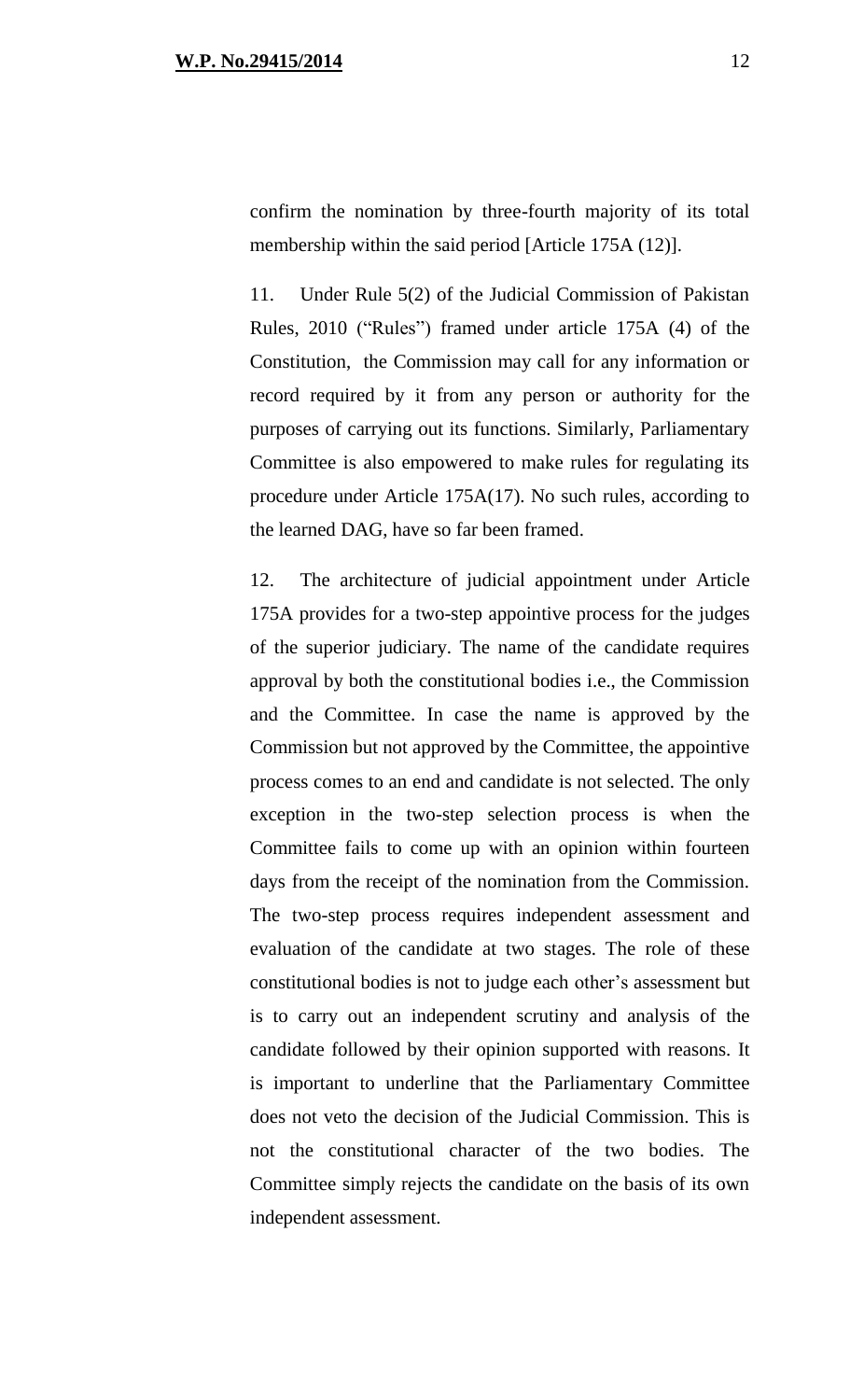confirm the nomination by three-fourth majority of its total membership within the said period [Article 175A (12)].

11. Under Rule 5(2) of the Judicial Commission of Pakistan Rules, 2010 ("Rules") framed under article 175A (4) of the Constitution, the Commission may call for any information or record required by it from any person or authority for the purposes of carrying out its functions. Similarly, Parliamentary Committee is also empowered to make rules for regulating its procedure under Article 175A(17). No such rules, according to the learned DAG, have so far been framed.

12. The architecture of judicial appointment under Article 175A provides for a two-step appointive process for the judges of the superior judiciary. The name of the candidate requires approval by both the constitutional bodies i.e., the Commission and the Committee. In case the name is approved by the Commission but not approved by the Committee, the appointive process comes to an end and candidate is not selected. The only exception in the two-step selection process is when the Committee fails to come up with an opinion within fourteen days from the receipt of the nomination from the Commission. The two-step process requires independent assessment and evaluation of the candidate at two stages. The role of these constitutional bodies is not to judge each other's assessment but is to carry out an independent scrutiny and analysis of the candidate followed by their opinion supported with reasons. It is important to underline that the Parliamentary Committee does not veto the decision of the Judicial Commission. This is not the constitutional character of the two bodies. The Committee simply rejects the candidate on the basis of its own independent assessment.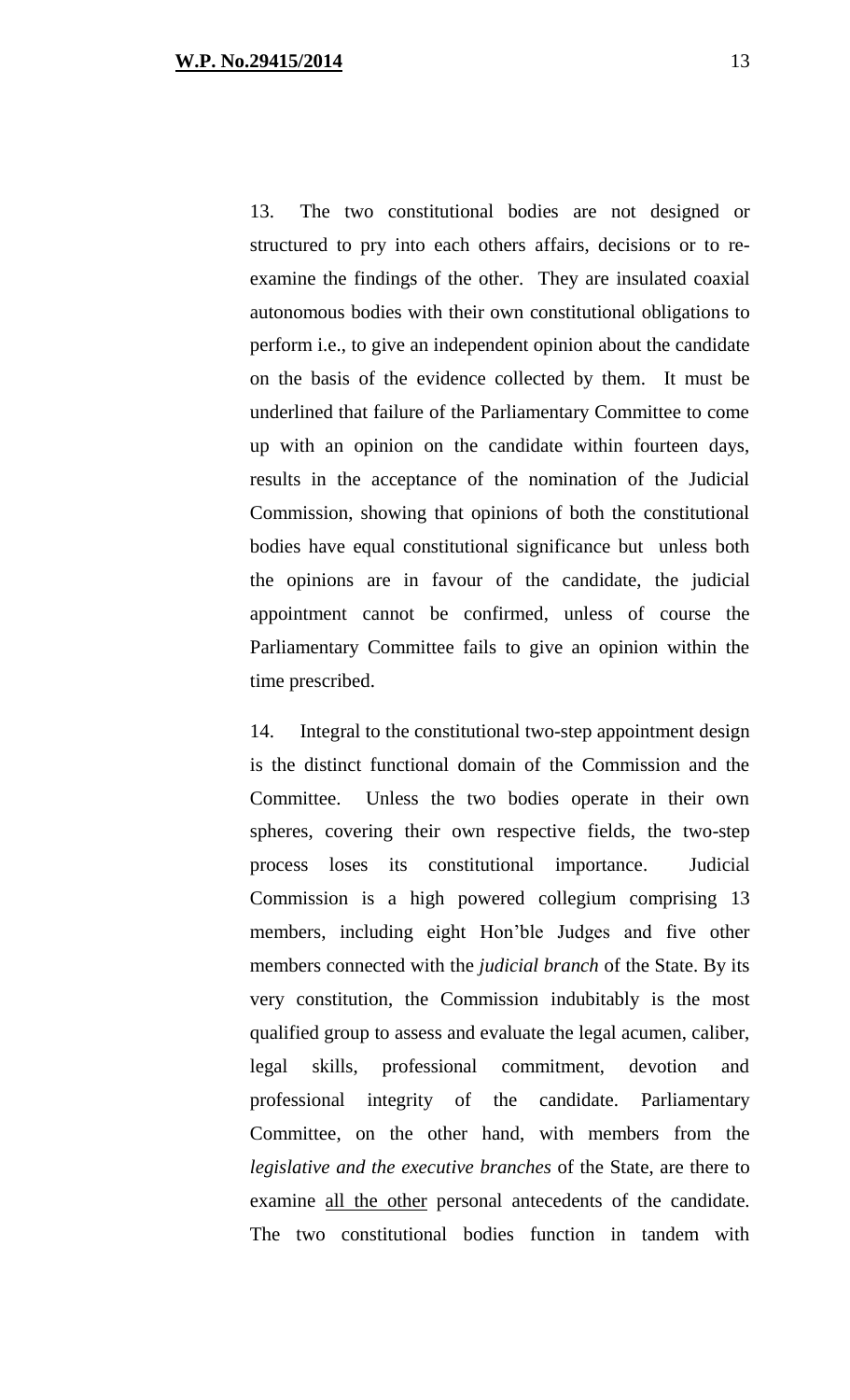13. The two constitutional bodies are not designed or structured to pry into each others affairs, decisions or to reexamine the findings of the other. They are insulated coaxial autonomous bodies with their own constitutional obligations to perform i.e., to give an independent opinion about the candidate on the basis of the evidence collected by them. It must be underlined that failure of the Parliamentary Committee to come up with an opinion on the candidate within fourteen days, results in the acceptance of the nomination of the Judicial Commission, showing that opinions of both the constitutional bodies have equal constitutional significance but unless both the opinions are in favour of the candidate, the judicial appointment cannot be confirmed, unless of course the Parliamentary Committee fails to give an opinion within the time prescribed.

14. Integral to the constitutional two-step appointment design is the distinct functional domain of the Commission and the Committee. Unless the two bodies operate in their own spheres, covering their own respective fields, the two-step process loses its constitutional importance. Judicial Commission is a high powered collegium comprising 13 members, including eight Hon'ble Judges and five other members connected with the *judicial branch* of the State. By its very constitution, the Commission indubitably is the most qualified group to assess and evaluate the legal acumen, caliber, legal skills, professional commitment, devotion and professional integrity of the candidate. Parliamentary Committee, on the other hand, with members from the *legislative and the executive branches* of the State, are there to examine all the other personal antecedents of the candidate. The two constitutional bodies function in tandem with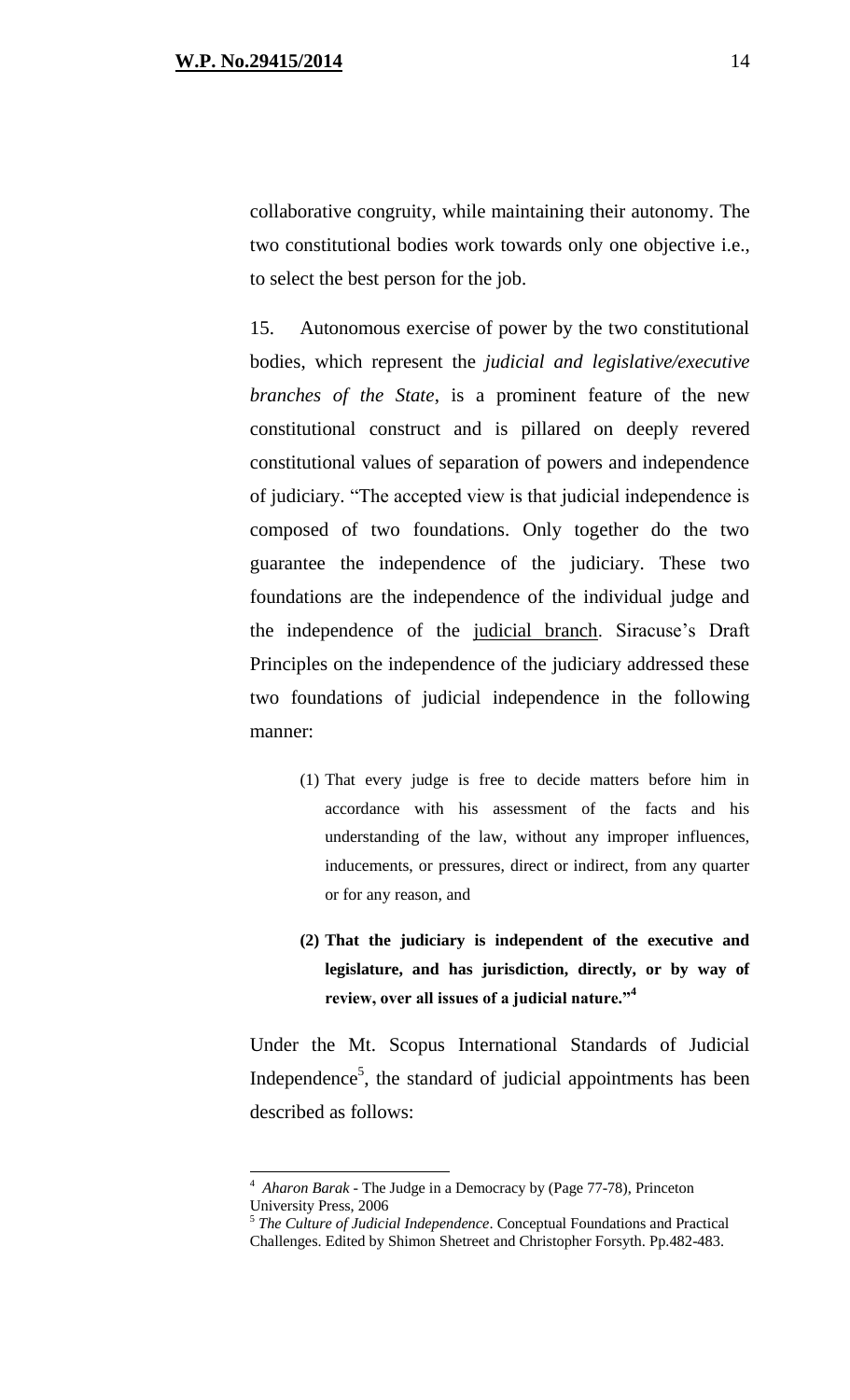collaborative congruity, while maintaining their autonomy. The two constitutional bodies work towards only one objective i.e., to select the best person for the job.

15. Autonomous exercise of power by the two constitutional bodies, which represent the *judicial and legislative/executive branches of the State*, is a prominent feature of the new constitutional construct and is pillared on deeply revered constitutional values of separation of powers and independence of judiciary. "The accepted view is that judicial independence is composed of two foundations. Only together do the two guarantee the independence of the judiciary. These two foundations are the independence of the individual judge and the independence of the judicial branch. Siracuse's Draft Principles on the independence of the judiciary addressed these two foundations of judicial independence in the following manner:

- (1) That every judge is free to decide matters before him in accordance with his assessment of the facts and his understanding of the law, without any improper influences, inducements, or pressures, direct or indirect, from any quarter or for any reason, and
- **(2) That the judiciary is independent of the executive and legislature, and has jurisdiction, directly, or by way of review, over all issues of a judicial nature."<sup>4</sup>**

Under the Mt. Scopus International Standards of Judicial Independence<sup>5</sup>, the standard of judicial appointments has been described as follows:

 $\overline{a}$ 

<sup>4</sup> *Aharon Barak -* The Judge in a Democracy by (Page 77-78), Princeton University Press, 2006

<sup>5</sup> *The Culture of Judicial Independence*. Conceptual Foundations and Practical Challenges. Edited by Shimon Shetreet and Christopher Forsyth. Pp.482-483.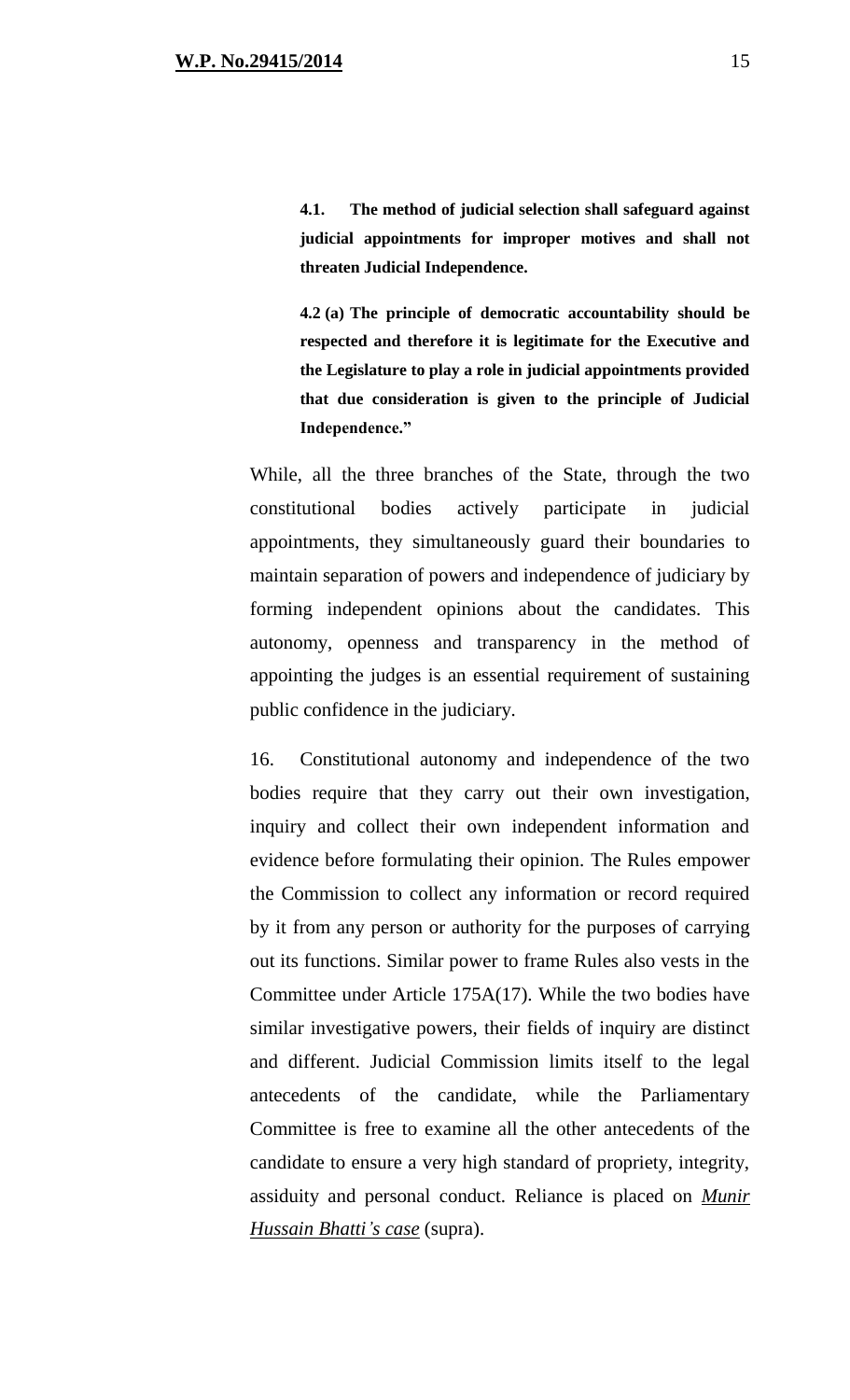**4.1. The method of judicial selection shall safeguard against judicial appointments for improper motives and shall not threaten Judicial Independence.**

**4.2 (a) The principle of democratic accountability should be respected and therefore it is legitimate for the Executive and the Legislature to play a role in judicial appointments provided that due consideration is given to the principle of Judicial Independence."** 

While, all the three branches of the State, through the two constitutional bodies actively participate in judicial appointments, they simultaneously guard their boundaries to maintain separation of powers and independence of judiciary by forming independent opinions about the candidates. This autonomy, openness and transparency in the method of appointing the judges is an essential requirement of sustaining public confidence in the judiciary.

16. Constitutional autonomy and independence of the two bodies require that they carry out their own investigation, inquiry and collect their own independent information and evidence before formulating their opinion. The Rules empower the Commission to collect any information or record required by it from any person or authority for the purposes of carrying out its functions. Similar power to frame Rules also vests in the Committee under Article 175A(17). While the two bodies have similar investigative powers, their fields of inquiry are distinct and different. Judicial Commission limits itself to the legal antecedents of the candidate, while the Parliamentary Committee is free to examine all the other antecedents of the candidate to ensure a very high standard of propriety, integrity, assiduity and personal conduct. Reliance is placed on *Munir Hussain Bhatti's case* (supra).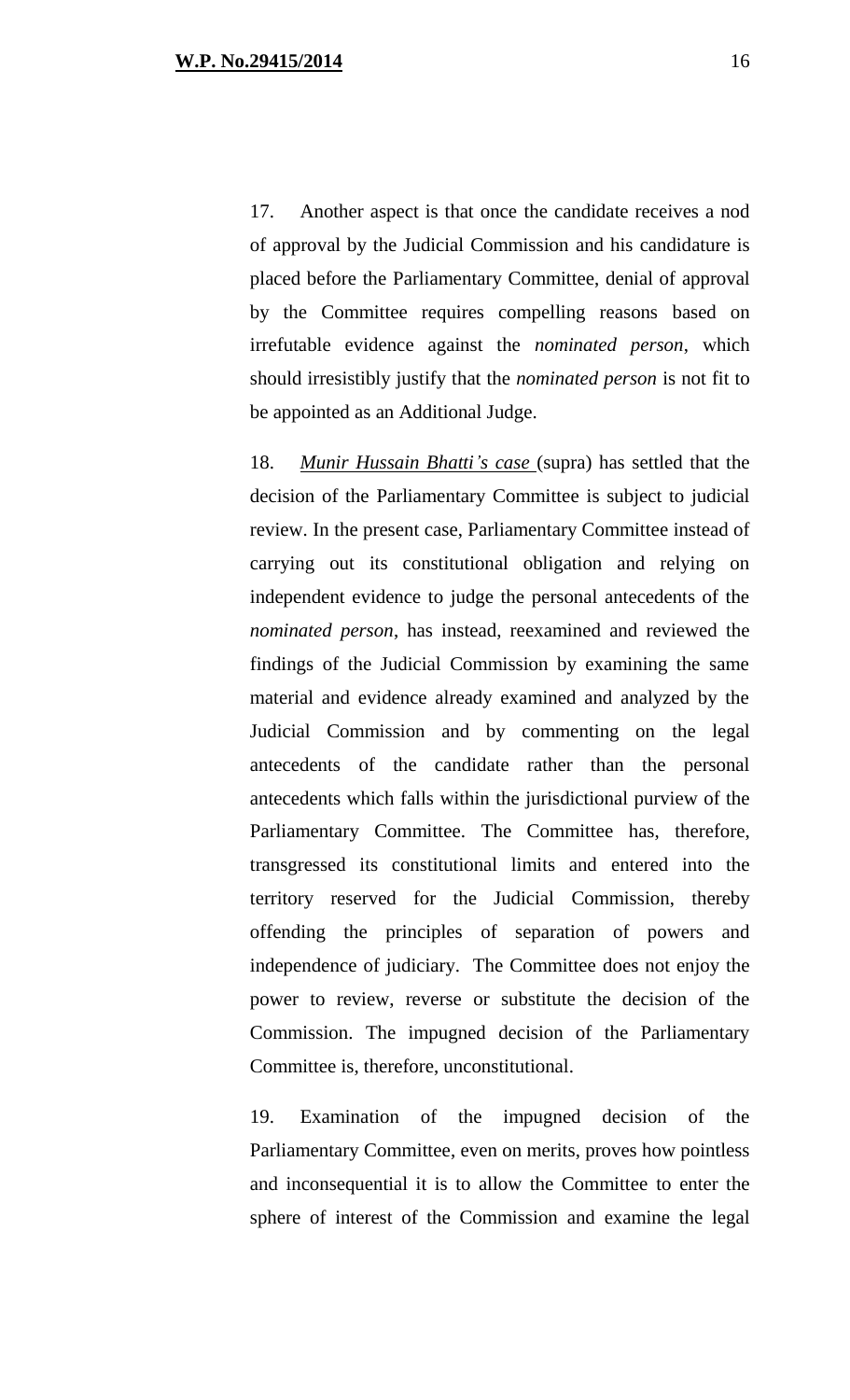17. Another aspect is that once the candidate receives a nod of approval by the Judicial Commission and his candidature is placed before the Parliamentary Committee, denial of approval by the Committee requires compelling reasons based on irrefutable evidence against the *nominated person*, which should irresistibly justify that the *nominated person* is not fit to be appointed as an Additional Judge.

18. *Munir Hussain Bhatti's case* (supra) has settled that the decision of the Parliamentary Committee is subject to judicial review. In the present case, Parliamentary Committee instead of carrying out its constitutional obligation and relying on independent evidence to judge the personal antecedents of the *nominated person*, has instead, reexamined and reviewed the findings of the Judicial Commission by examining the same material and evidence already examined and analyzed by the Judicial Commission and by commenting on the legal antecedents of the candidate rather than the personal antecedents which falls within the jurisdictional purview of the Parliamentary Committee. The Committee has, therefore, transgressed its constitutional limits and entered into the territory reserved for the Judicial Commission, thereby offending the principles of separation of powers and independence of judiciary. The Committee does not enjoy the power to review, reverse or substitute the decision of the Commission. The impugned decision of the Parliamentary Committee is, therefore, unconstitutional.

19. Examination of the impugned decision of the Parliamentary Committee, even on merits, proves how pointless and inconsequential it is to allow the Committee to enter the sphere of interest of the Commission and examine the legal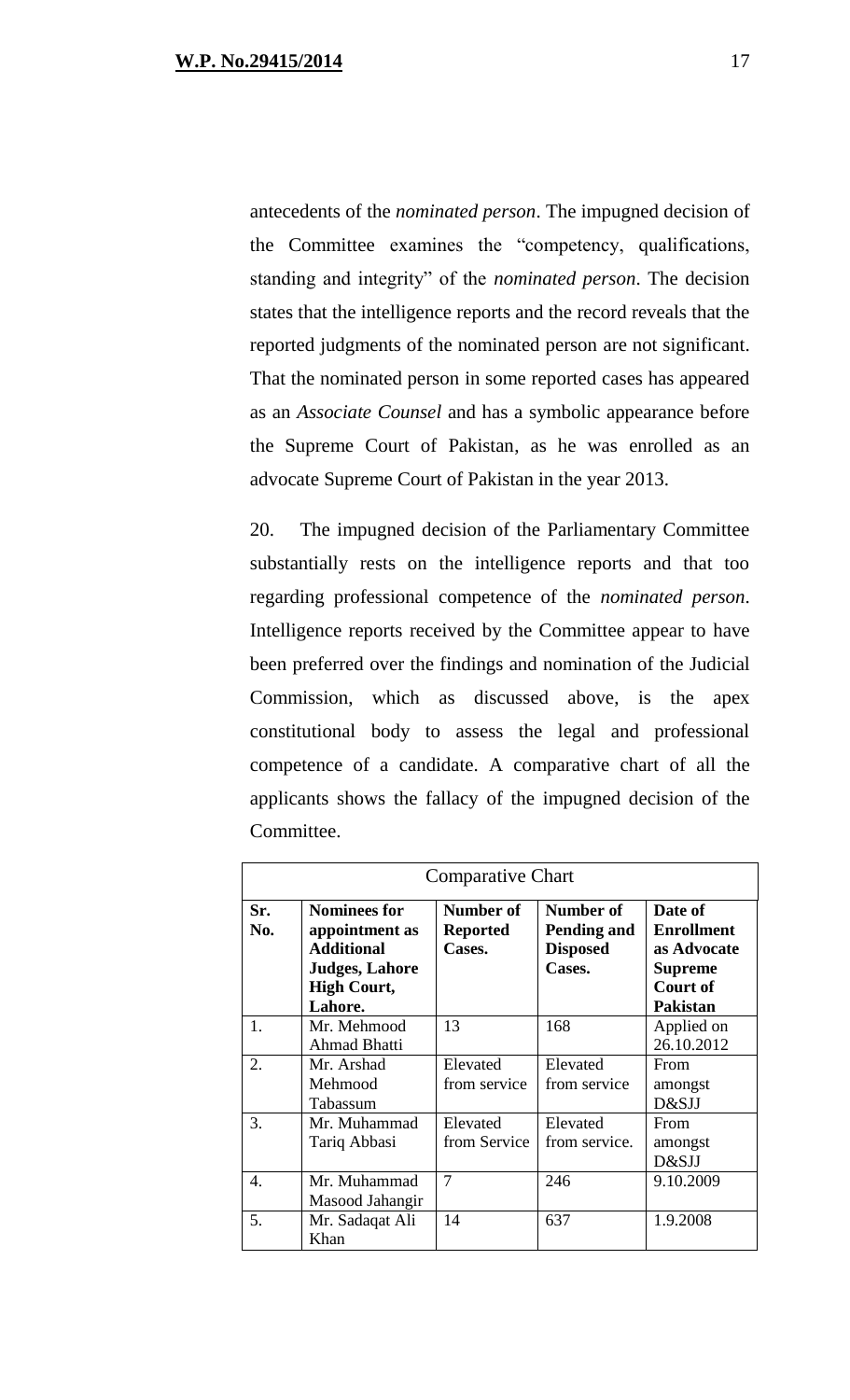antecedents of the *nominated person*. The impugned decision of the Committee examines the "competency, qualifications, standing and integrity" of the *nominated person*. The decision states that the intelligence reports and the record reveals that the reported judgments of the nominated person are not significant. That the nominated person in some reported cases has appeared as an *Associate Counsel* and has a symbolic appearance before the Supreme Court of Pakistan, as he was enrolled as an advocate Supreme Court of Pakistan in the year 2013.

20. The impugned decision of the Parliamentary Committee substantially rests on the intelligence reports and that too regarding professional competence of the *nominated person*. Intelligence reports received by the Committee appear to have been preferred over the findings and nomination of the Judicial Commission, which as discussed above, is the apex constitutional body to assess the legal and professional competence of a candidate. A comparative chart of all the applicants shows the fallacy of the impugned decision of the Committee.

| <b>Comparative Chart</b> |                                                                                                                      |                                        |                                                       |                                                                                                     |
|--------------------------|----------------------------------------------------------------------------------------------------------------------|----------------------------------------|-------------------------------------------------------|-----------------------------------------------------------------------------------------------------|
| Sr.<br>No.               | <b>Nominees for</b><br>appointment as<br><b>Additional</b><br><b>Judges, Lahore</b><br><b>High Court,</b><br>Lahore. | Number of<br><b>Reported</b><br>Cases. | Number of<br>Pending and<br><b>Disposed</b><br>Cases. | Date of<br><b>Enrollment</b><br>as Advocate<br><b>Supreme</b><br><b>Court of</b><br><b>Pakistan</b> |
| 1.                       | Mr. Mehmood<br><b>Ahmad Bhatti</b>                                                                                   | 13                                     | 168                                                   | Applied on<br>26.10.2012                                                                            |
| 2.                       | Mr. Arshad<br>Mehmood<br>Tabassum                                                                                    | Elevated<br>from service               | Elevated<br>from service                              | From<br>amongst<br>D&SJJ                                                                            |
| 3.                       | Mr. Muhammad<br>Tariq Abbasi                                                                                         | Elevated<br>from Service               | Elevated<br>from service.                             | From<br>amongst<br>D&SJJ                                                                            |
| 4.                       | Mr. Muhammad<br>Masood Jahangir                                                                                      | 7                                      | 246                                                   | 9.10.2009                                                                                           |
| 5.                       | Mr. Sadaqat Ali<br>Khan                                                                                              | 14                                     | 637                                                   | 1.9.2008                                                                                            |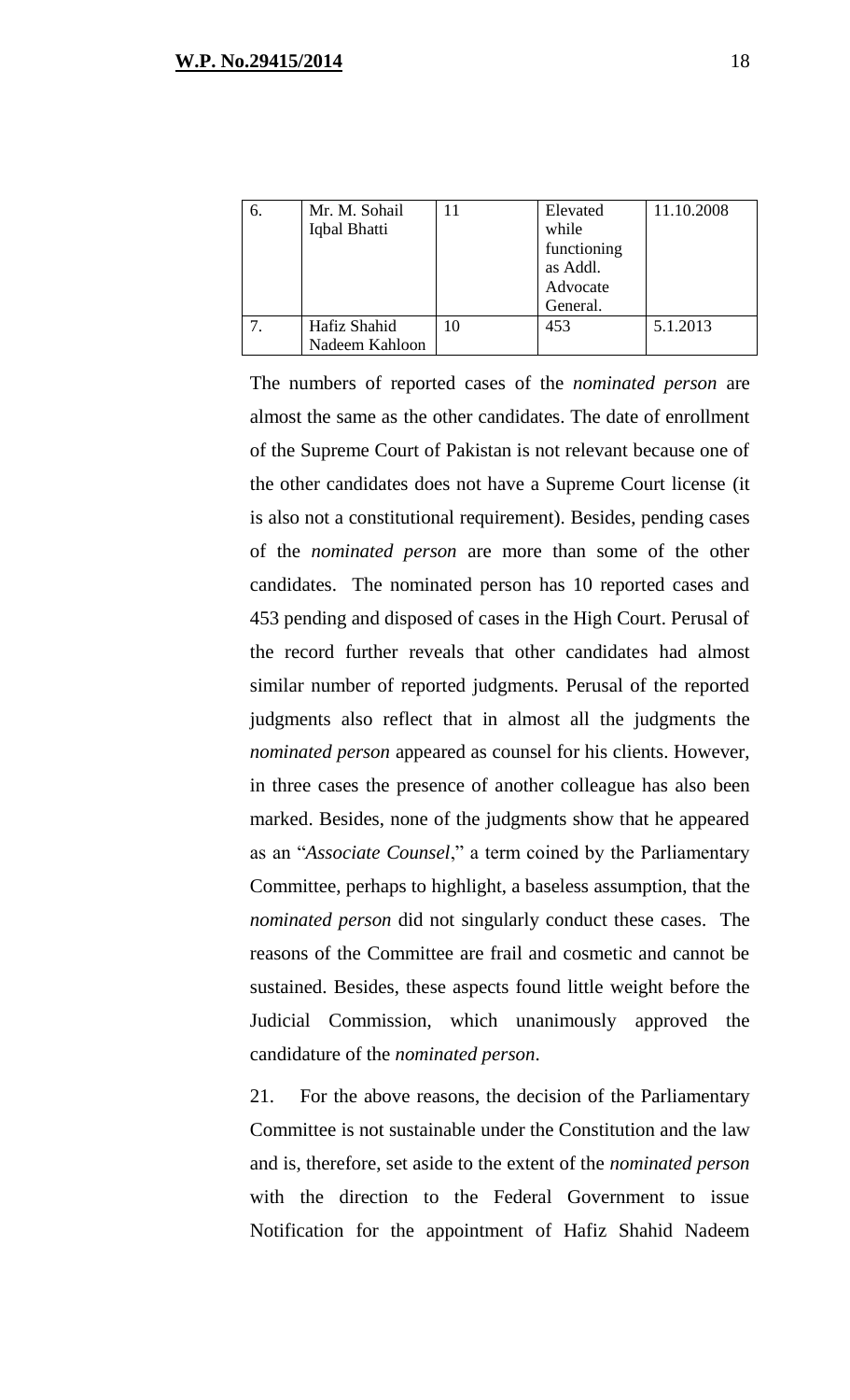| 6. | Mr. M. Sohail  | Elevated    | 11.10.2008 |
|----|----------------|-------------|------------|
|    | Iqbal Bhatti   | while       |            |
|    |                | functioning |            |
|    |                | as Addl.    |            |
|    |                | Advocate    |            |
|    |                | General.    |            |
|    | Hafiz Shahid   | 453         | 5.1.2013   |
|    | Nadeem Kahloon |             |            |

The numbers of reported cases of the *nominated person* are almost the same as the other candidates. The date of enrollment of the Supreme Court of Pakistan is not relevant because one of the other candidates does not have a Supreme Court license (it is also not a constitutional requirement). Besides, pending cases of the *nominated person* are more than some of the other candidates. The nominated person has 10 reported cases and 453 pending and disposed of cases in the High Court. Perusal of the record further reveals that other candidates had almost similar number of reported judgments. Perusal of the reported judgments also reflect that in almost all the judgments the *nominated person* appeared as counsel for his clients. However, in three cases the presence of another colleague has also been marked. Besides, none of the judgments show that he appeared as an "*Associate Counsel*," a term coined by the Parliamentary Committee, perhaps to highlight, a baseless assumption, that the *nominated person* did not singularly conduct these cases. The reasons of the Committee are frail and cosmetic and cannot be sustained. Besides, these aspects found little weight before the Judicial Commission, which unanimously approved the candidature of the *nominated person*.

21. For the above reasons, the decision of the Parliamentary Committee is not sustainable under the Constitution and the law and is, therefore, set aside to the extent of the *nominated person* with the direction to the Federal Government to issue Notification for the appointment of Hafiz Shahid Nadeem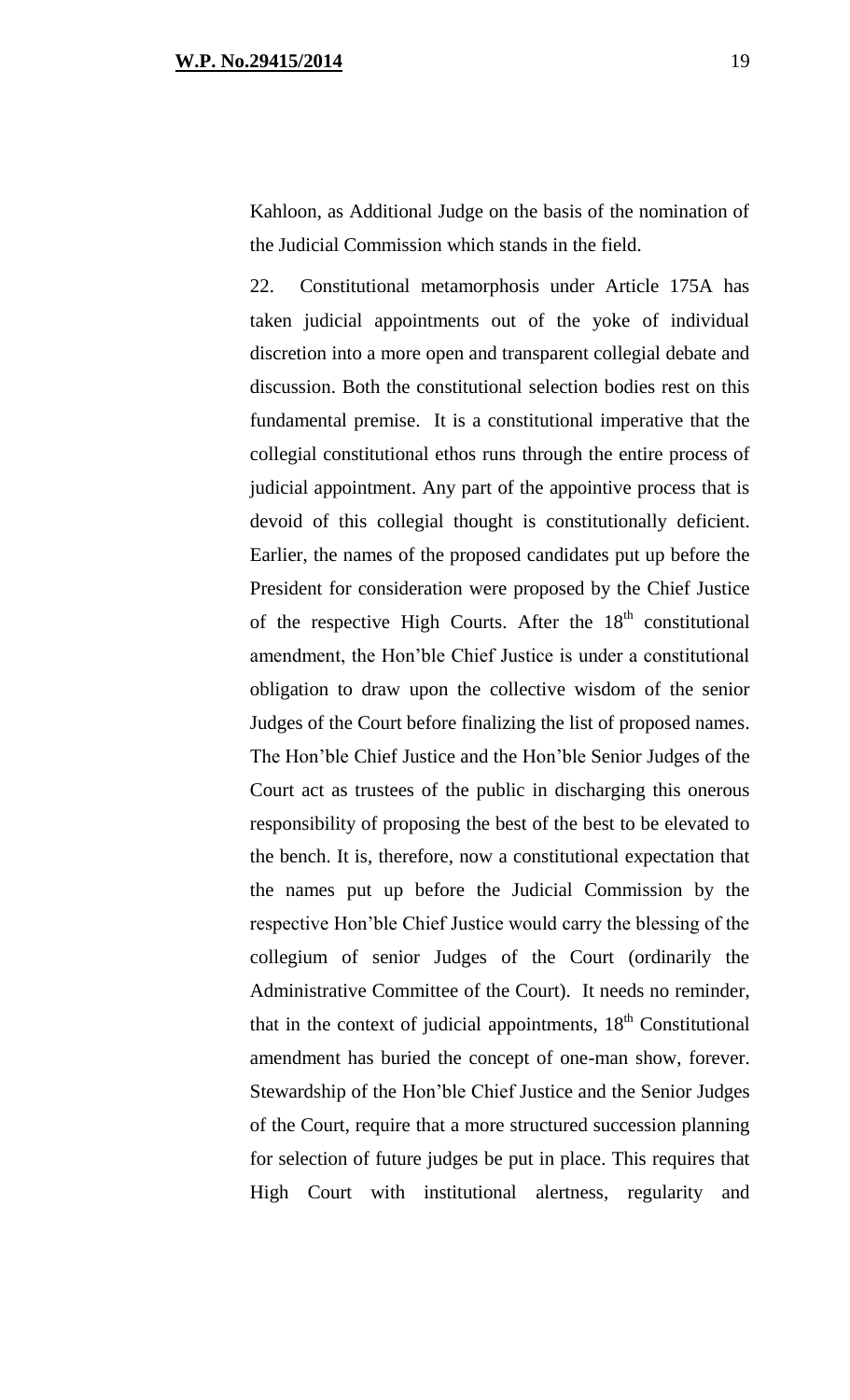Kahloon, as Additional Judge on the basis of the nomination of the Judicial Commission which stands in the field.

22. Constitutional metamorphosis under Article 175A has taken judicial appointments out of the yoke of individual discretion into a more open and transparent collegial debate and discussion. Both the constitutional selection bodies rest on this fundamental premise. It is a constitutional imperative that the collegial constitutional ethos runs through the entire process of judicial appointment. Any part of the appointive process that is devoid of this collegial thought is constitutionally deficient. Earlier, the names of the proposed candidates put up before the President for consideration were proposed by the Chief Justice of the respective High Courts. After the  $18<sup>th</sup>$  constitutional amendment, the Hon'ble Chief Justice is under a constitutional obligation to draw upon the collective wisdom of the senior Judges of the Court before finalizing the list of proposed names. The Hon'ble Chief Justice and the Hon'ble Senior Judges of the Court act as trustees of the public in discharging this onerous responsibility of proposing the best of the best to be elevated to the bench. It is, therefore, now a constitutional expectation that the names put up before the Judicial Commission by the respective Hon'ble Chief Justice would carry the blessing of the collegium of senior Judges of the Court (ordinarily the Administrative Committee of the Court). It needs no reminder, that in the context of judicial appointments,  $18<sup>th</sup>$  Constitutional amendment has buried the concept of one-man show, forever. Stewardship of the Hon'ble Chief Justice and the Senior Judges of the Court, require that a more structured succession planning for selection of future judges be put in place. This requires that High Court with institutional alertness, regularity and